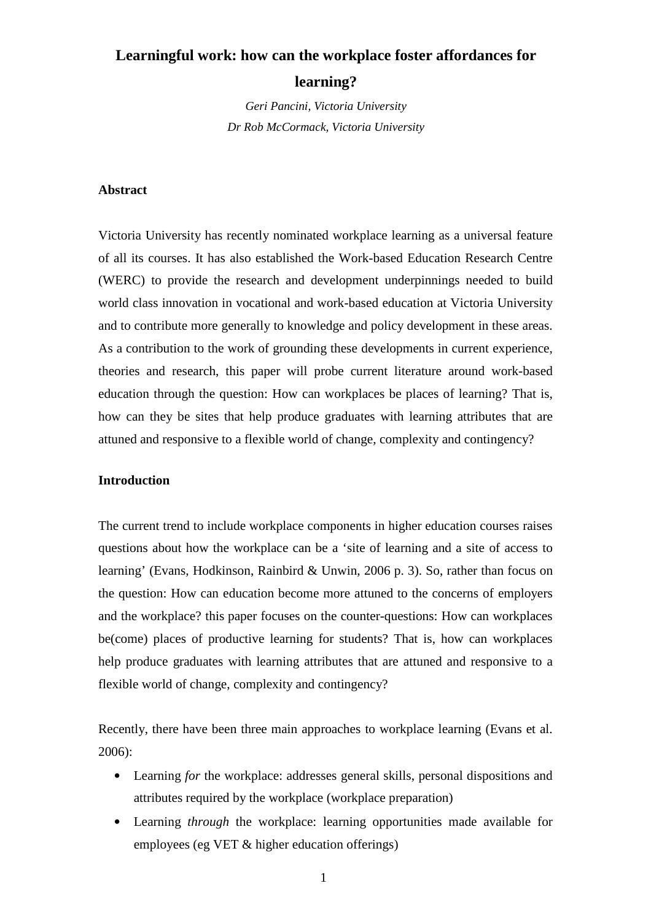# **Learningful work: how can the workplace foster affordances for**

## **learning?**

*Geri Pancini, Victoria University Dr Rob McCormack, Victoria University* 

## **Abstract**

Victoria University has recently nominated workplace learning as a universal feature of all its courses. It has also established the Work-based Education Research Centre (WERC) to provide the research and development underpinnings needed to build world class innovation in vocational and work-based education at Victoria University and to contribute more generally to knowledge and policy development in these areas. As a contribution to the work of grounding these developments in current experience, theories and research, this paper will probe current literature around work-based education through the question: How can workplaces be places of learning? That is, how can they be sites that help produce graduates with learning attributes that are attuned and responsive to a flexible world of change, complexity and contingency?

## **Introduction**

The current trend to include workplace components in higher education courses raises questions about how the workplace can be a 'site of learning and a site of access to learning' (Evans, Hodkinson, Rainbird & Unwin, 2006 p. 3). So, rather than focus on the question: How can education become more attuned to the concerns of employers and the workplace? this paper focuses on the counter-questions: How can workplaces be(come) places of productive learning for students? That is, how can workplaces help produce graduates with learning attributes that are attuned and responsive to a flexible world of change, complexity and contingency?

Recently, there have been three main approaches to workplace learning (Evans et al. 2006):

- Learning *for* the workplace: addresses general skills, personal dispositions and attributes required by the workplace (workplace preparation)
- Learning *through* the workplace: learning opportunities made available for employees (eg VET & higher education offerings)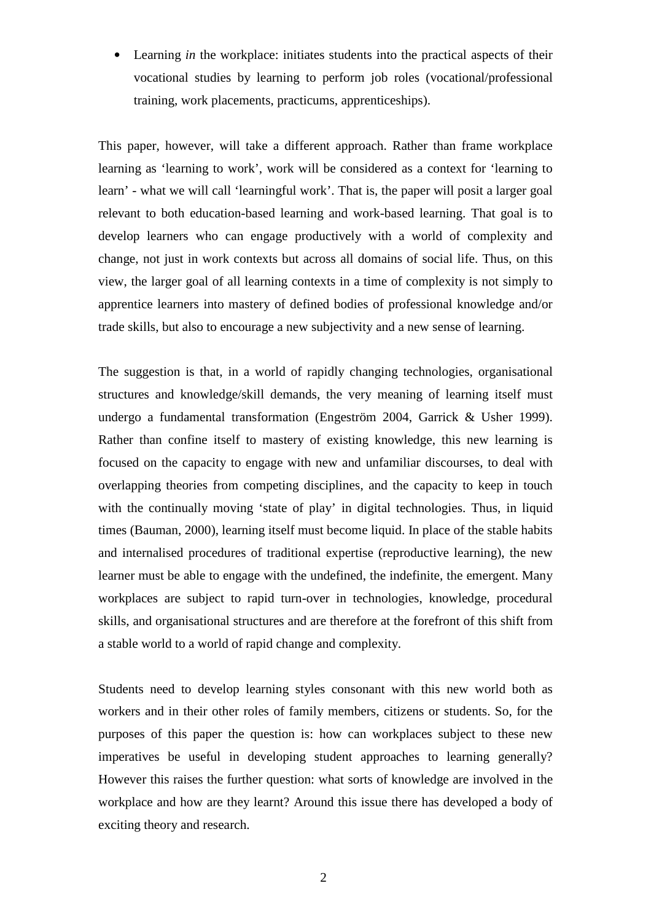• Learning *in* the workplace: initiates students into the practical aspects of their vocational studies by learning to perform job roles (vocational/professional training, work placements, practicums, apprenticeships).

This paper, however, will take a different approach. Rather than frame workplace learning as 'learning to work', work will be considered as a context for 'learning to learn' - what we will call 'learningful work'. That is, the paper will posit a larger goal relevant to both education-based learning and work-based learning. That goal is to develop learners who can engage productively with a world of complexity and change, not just in work contexts but across all domains of social life. Thus, on this view, the larger goal of all learning contexts in a time of complexity is not simply to apprentice learners into mastery of defined bodies of professional knowledge and/or trade skills, but also to encourage a new subjectivity and a new sense of learning.

The suggestion is that, in a world of rapidly changing technologies, organisational structures and knowledge/skill demands, the very meaning of learning itself must undergo a fundamental transformation (Engeström 2004, Garrick & Usher 1999). Rather than confine itself to mastery of existing knowledge, this new learning is focused on the capacity to engage with new and unfamiliar discourses, to deal with overlapping theories from competing disciplines, and the capacity to keep in touch with the continually moving 'state of play' in digital technologies. Thus, in liquid times (Bauman, 2000), learning itself must become liquid. In place of the stable habits and internalised procedures of traditional expertise (reproductive learning), the new learner must be able to engage with the undefined, the indefinite, the emergent. Many workplaces are subject to rapid turn-over in technologies, knowledge, procedural skills, and organisational structures and are therefore at the forefront of this shift from a stable world to a world of rapid change and complexity.

Students need to develop learning styles consonant with this new world both as workers and in their other roles of family members, citizens or students. So, for the purposes of this paper the question is: how can workplaces subject to these new imperatives be useful in developing student approaches to learning generally? However this raises the further question: what sorts of knowledge are involved in the workplace and how are they learnt? Around this issue there has developed a body of exciting theory and research.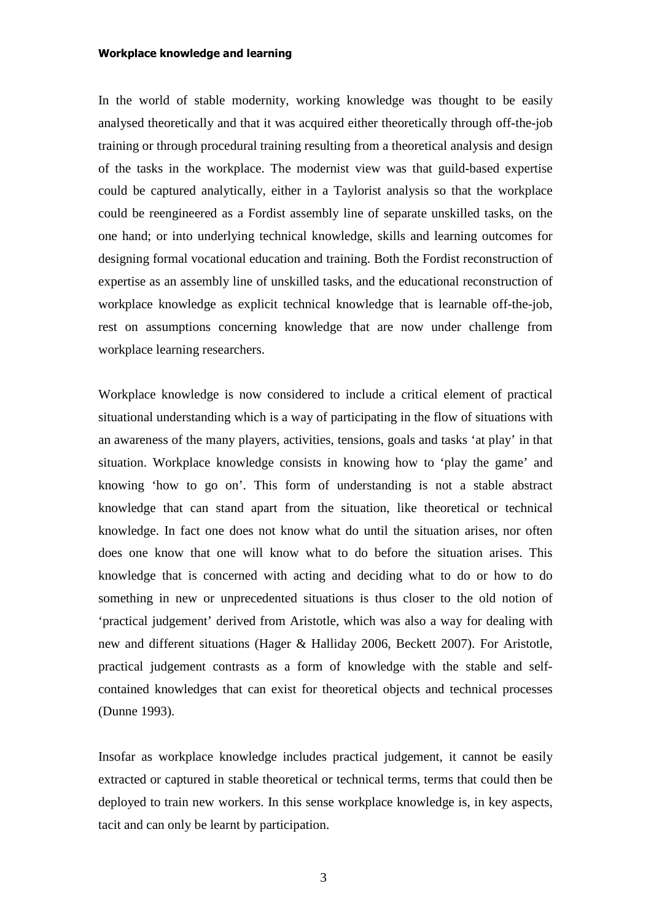#### Workplace knowledge and learning

In the world of stable modernity, working knowledge was thought to be easily analysed theoretically and that it was acquired either theoretically through off-the-job training or through procedural training resulting from a theoretical analysis and design of the tasks in the workplace. The modernist view was that guild-based expertise could be captured analytically, either in a Taylorist analysis so that the workplace could be reengineered as a Fordist assembly line of separate unskilled tasks, on the one hand; or into underlying technical knowledge, skills and learning outcomes for designing formal vocational education and training. Both the Fordist reconstruction of expertise as an assembly line of unskilled tasks, and the educational reconstruction of workplace knowledge as explicit technical knowledge that is learnable off-the-job, rest on assumptions concerning knowledge that are now under challenge from workplace learning researchers.

Workplace knowledge is now considered to include a critical element of practical situational understanding which is a way of participating in the flow of situations with an awareness of the many players, activities, tensions, goals and tasks 'at play' in that situation. Workplace knowledge consists in knowing how to 'play the game' and knowing 'how to go on'. This form of understanding is not a stable abstract knowledge that can stand apart from the situation, like theoretical or technical knowledge. In fact one does not know what do until the situation arises, nor often does one know that one will know what to do before the situation arises. This knowledge that is concerned with acting and deciding what to do or how to do something in new or unprecedented situations is thus closer to the old notion of 'practical judgement' derived from Aristotle, which was also a way for dealing with new and different situations (Hager & Halliday 2006, Beckett 2007). For Aristotle, practical judgement contrasts as a form of knowledge with the stable and selfcontained knowledges that can exist for theoretical objects and technical processes (Dunne 1993).

Insofar as workplace knowledge includes practical judgement, it cannot be easily extracted or captured in stable theoretical or technical terms, terms that could then be deployed to train new workers. In this sense workplace knowledge is, in key aspects, tacit and can only be learnt by participation.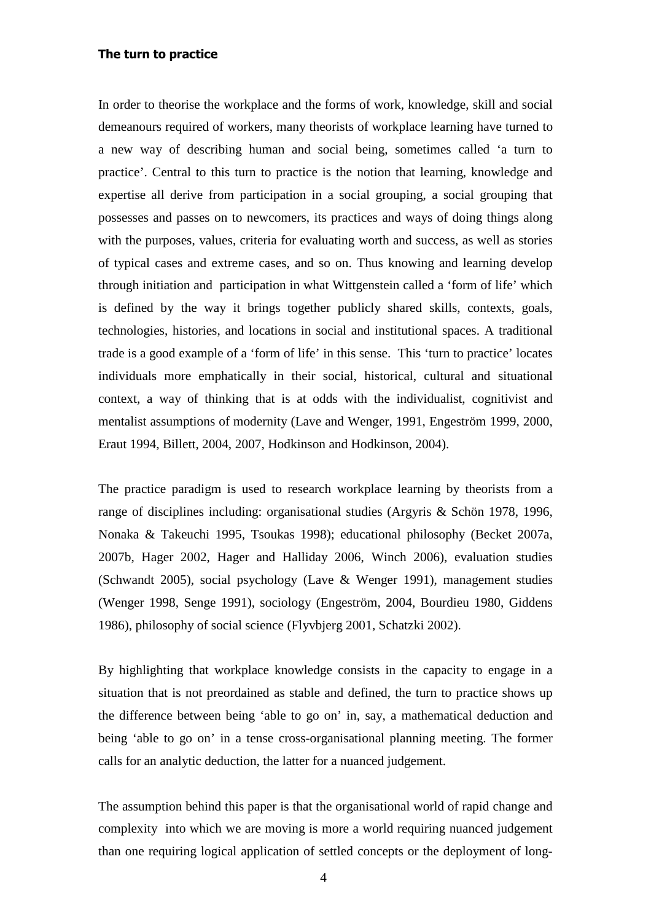## The turn to practice

In order to theorise the workplace and the forms of work, knowledge, skill and social demeanours required of workers, many theorists of workplace learning have turned to a new way of describing human and social being, sometimes called 'a turn to practice'. Central to this turn to practice is the notion that learning, knowledge and expertise all derive from participation in a social grouping, a social grouping that possesses and passes on to newcomers, its practices and ways of doing things along with the purposes, values, criteria for evaluating worth and success, as well as stories of typical cases and extreme cases, and so on. Thus knowing and learning develop through initiation and participation in what Wittgenstein called a 'form of life' which is defined by the way it brings together publicly shared skills, contexts, goals, technologies, histories, and locations in social and institutional spaces. A traditional trade is a good example of a 'form of life' in this sense. This 'turn to practice' locates individuals more emphatically in their social, historical, cultural and situational context, a way of thinking that is at odds with the individualist, cognitivist and mentalist assumptions of modernity (Lave and Wenger, 1991, Engeström 1999, 2000, Eraut 1994, Billett, 2004, 2007, Hodkinson and Hodkinson, 2004).

The practice paradigm is used to research workplace learning by theorists from a range of disciplines including: organisational studies (Argyris & Schön 1978, 1996, Nonaka & Takeuchi 1995, Tsoukas 1998); educational philosophy (Becket 2007a, 2007b, Hager 2002, Hager and Halliday 2006, Winch 2006), evaluation studies (Schwandt 2005), social psychology (Lave & Wenger 1991), management studies (Wenger 1998, Senge 1991), sociology (Engeström, 2004, Bourdieu 1980, Giddens 1986), philosophy of social science (Flyvbjerg 2001, Schatzki 2002).

By highlighting that workplace knowledge consists in the capacity to engage in a situation that is not preordained as stable and defined, the turn to practice shows up the difference between being 'able to go on' in, say, a mathematical deduction and being 'able to go on' in a tense cross-organisational planning meeting. The former calls for an analytic deduction, the latter for a nuanced judgement.

The assumption behind this paper is that the organisational world of rapid change and complexity into which we are moving is more a world requiring nuanced judgement than one requiring logical application of settled concepts or the deployment of long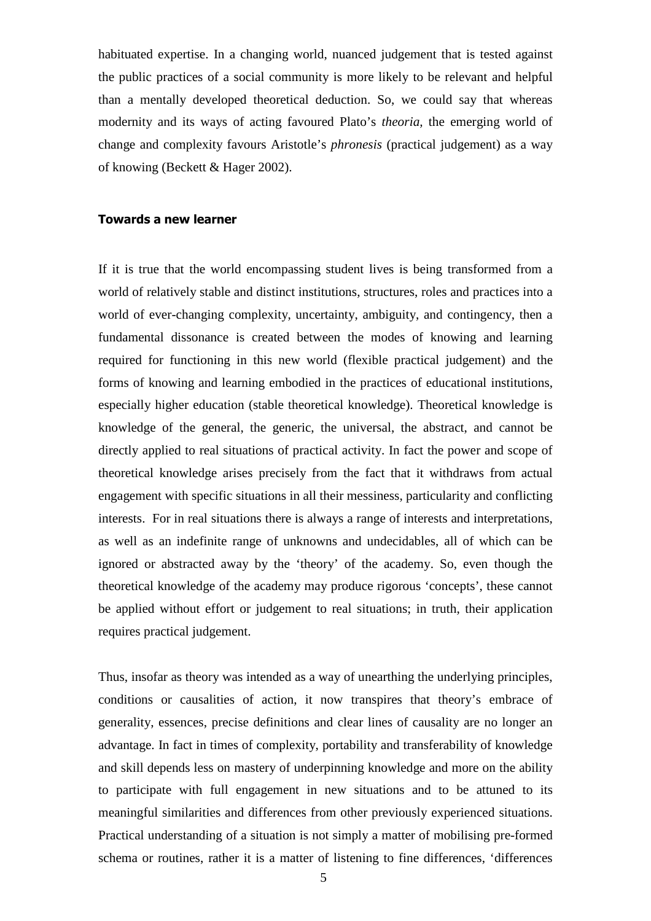habituated expertise. In a changing world, nuanced judgement that is tested against the public practices of a social community is more likely to be relevant and helpful than a mentally developed theoretical deduction. So, we could say that whereas modernity and its ways of acting favoured Plato's *theoria,* the emerging world of change and complexity favours Aristotle's *phronesis* (practical judgement) as a way of knowing (Beckett & Hager 2002).

## Towards a new learner

If it is true that the world encompassing student lives is being transformed from a world of relatively stable and distinct institutions, structures, roles and practices into a world of ever-changing complexity, uncertainty, ambiguity, and contingency, then a fundamental dissonance is created between the modes of knowing and learning required for functioning in this new world (flexible practical judgement) and the forms of knowing and learning embodied in the practices of educational institutions, especially higher education (stable theoretical knowledge). Theoretical knowledge is knowledge of the general, the generic, the universal, the abstract, and cannot be directly applied to real situations of practical activity. In fact the power and scope of theoretical knowledge arises precisely from the fact that it withdraws from actual engagement with specific situations in all their messiness, particularity and conflicting interests. For in real situations there is always a range of interests and interpretations, as well as an indefinite range of unknowns and undecidables, all of which can be ignored or abstracted away by the 'theory' of the academy. So, even though the theoretical knowledge of the academy may produce rigorous 'concepts', these cannot be applied without effort or judgement to real situations; in truth, their application requires practical judgement.

Thus, insofar as theory was intended as a way of unearthing the underlying principles, conditions or causalities of action, it now transpires that theory's embrace of generality, essences, precise definitions and clear lines of causality are no longer an advantage. In fact in times of complexity, portability and transferability of knowledge and skill depends less on mastery of underpinning knowledge and more on the ability to participate with full engagement in new situations and to be attuned to its meaningful similarities and differences from other previously experienced situations. Practical understanding of a situation is not simply a matter of mobilising pre-formed schema or routines, rather it is a matter of listening to fine differences, 'differences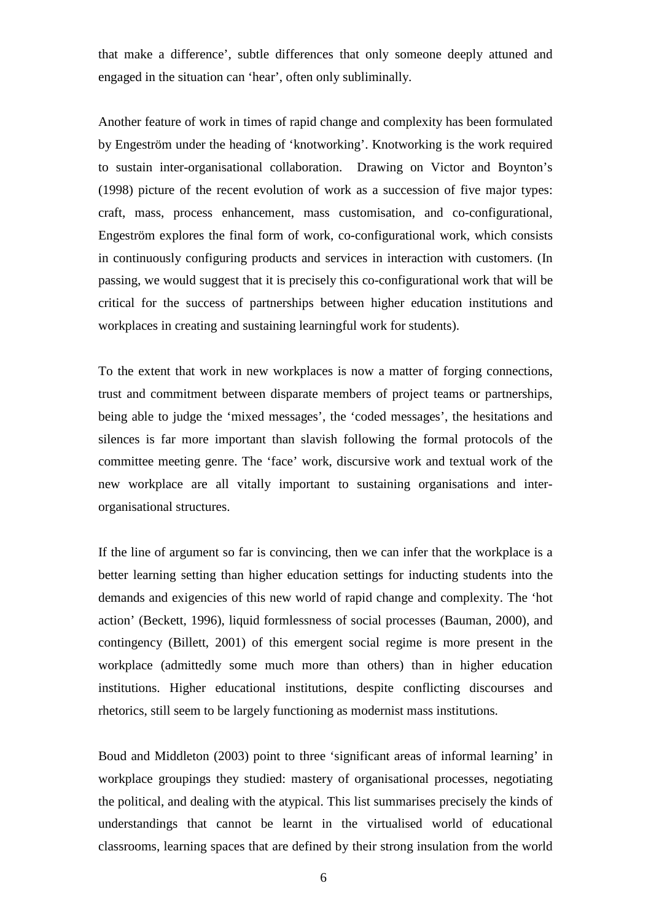that make a difference', subtle differences that only someone deeply attuned and engaged in the situation can 'hear', often only subliminally.

Another feature of work in times of rapid change and complexity has been formulated by Engeström under the heading of 'knotworking'. Knotworking is the work required to sustain inter-organisational collaboration. Drawing on Victor and Boynton's (1998) picture of the recent evolution of work as a succession of five major types: craft, mass, process enhancement, mass customisation, and co-configurational, Engeström explores the final form of work, co-configurational work, which consists in continuously configuring products and services in interaction with customers. (In passing, we would suggest that it is precisely this co-configurational work that will be critical for the success of partnerships between higher education institutions and workplaces in creating and sustaining learningful work for students).

To the extent that work in new workplaces is now a matter of forging connections, trust and commitment between disparate members of project teams or partnerships, being able to judge the 'mixed messages', the 'coded messages', the hesitations and silences is far more important than slavish following the formal protocols of the committee meeting genre. The 'face' work, discursive work and textual work of the new workplace are all vitally important to sustaining organisations and interorganisational structures.

If the line of argument so far is convincing, then we can infer that the workplace is a better learning setting than higher education settings for inducting students into the demands and exigencies of this new world of rapid change and complexity. The 'hot action' (Beckett, 1996), liquid formlessness of social processes (Bauman, 2000), and contingency (Billett, 2001) of this emergent social regime is more present in the workplace (admittedly some much more than others) than in higher education institutions. Higher educational institutions, despite conflicting discourses and rhetorics, still seem to be largely functioning as modernist mass institutions.

Boud and Middleton (2003) point to three 'significant areas of informal learning' in workplace groupings they studied: mastery of organisational processes, negotiating the political, and dealing with the atypical. This list summarises precisely the kinds of understandings that cannot be learnt in the virtualised world of educational classrooms, learning spaces that are defined by their strong insulation from the world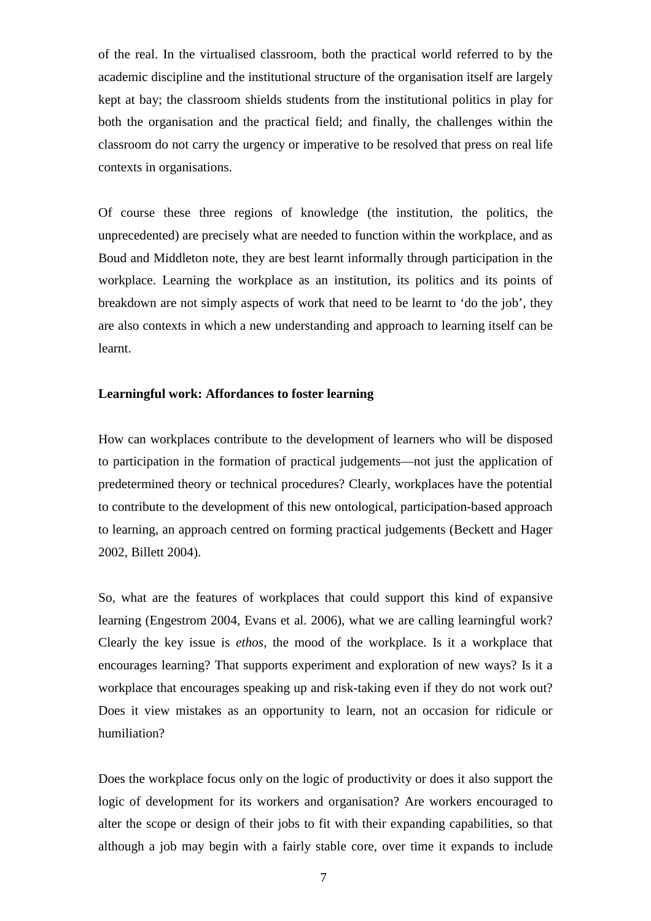of the real. In the virtualised classroom, both the practical world referred to by the academic discipline and the institutional structure of the organisation itself are largely kept at bay; the classroom shields students from the institutional politics in play for both the organisation and the practical field; and finally, the challenges within the classroom do not carry the urgency or imperative to be resolved that press on real life contexts in organisations.

Of course these three regions of knowledge (the institution, the politics, the unprecedented) are precisely what are needed to function within the workplace, and as Boud and Middleton note, they are best learnt informally through participation in the workplace. Learning the workplace as an institution, its politics and its points of breakdown are not simply aspects of work that need to be learnt to 'do the job', they are also contexts in which a new understanding and approach to learning itself can be learnt.

## **Learningful work: Affordances to foster learning**

How can workplaces contribute to the development of learners who will be disposed to participation in the formation of practical judgements—not just the application of predetermined theory or technical procedures? Clearly, workplaces have the potential to contribute to the development of this new ontological, participation-based approach to learning, an approach centred on forming practical judgements (Beckett and Hager 2002, Billett 2004).

So, what are the features of workplaces that could support this kind of expansive learning (Engestrom 2004, Evans et al. 2006), what we are calling learningful work? Clearly the key issue is *ethos*, the mood of the workplace. Is it a workplace that encourages learning? That supports experiment and exploration of new ways? Is it a workplace that encourages speaking up and risk-taking even if they do not work out? Does it view mistakes as an opportunity to learn, not an occasion for ridicule or humiliation?

Does the workplace focus only on the logic of productivity or does it also support the logic of development for its workers and organisation? Are workers encouraged to alter the scope or design of their jobs to fit with their expanding capabilities, so that although a job may begin with a fairly stable core, over time it expands to include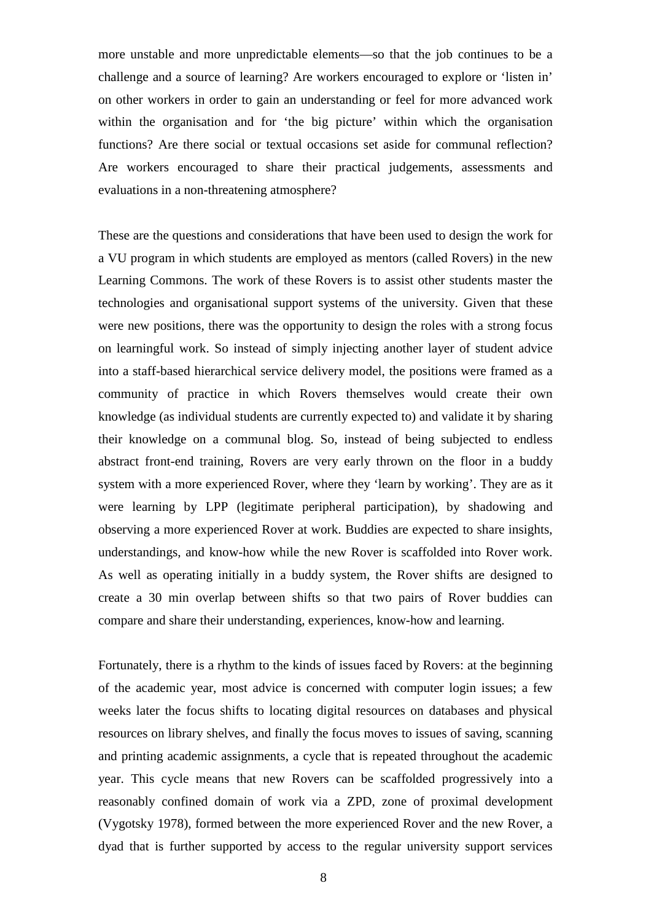more unstable and more unpredictable elements—so that the job continues to be a challenge and a source of learning? Are workers encouraged to explore or 'listen in' on other workers in order to gain an understanding or feel for more advanced work within the organisation and for 'the big picture' within which the organisation functions? Are there social or textual occasions set aside for communal reflection? Are workers encouraged to share their practical judgements, assessments and evaluations in a non-threatening atmosphere?

These are the questions and considerations that have been used to design the work for a VU program in which students are employed as mentors (called Rovers) in the new Learning Commons. The work of these Rovers is to assist other students master the technologies and organisational support systems of the university. Given that these were new positions, there was the opportunity to design the roles with a strong focus on learningful work. So instead of simply injecting another layer of student advice into a staff-based hierarchical service delivery model, the positions were framed as a community of practice in which Rovers themselves would create their own knowledge (as individual students are currently expected to) and validate it by sharing their knowledge on a communal blog. So, instead of being subjected to endless abstract front-end training, Rovers are very early thrown on the floor in a buddy system with a more experienced Rover, where they 'learn by working'. They are as it were learning by LPP (legitimate peripheral participation), by shadowing and observing a more experienced Rover at work. Buddies are expected to share insights, understandings, and know-how while the new Rover is scaffolded into Rover work. As well as operating initially in a buddy system, the Rover shifts are designed to create a 30 min overlap between shifts so that two pairs of Rover buddies can compare and share their understanding, experiences, know-how and learning.

Fortunately, there is a rhythm to the kinds of issues faced by Rovers: at the beginning of the academic year, most advice is concerned with computer login issues; a few weeks later the focus shifts to locating digital resources on databases and physical resources on library shelves, and finally the focus moves to issues of saving, scanning and printing academic assignments, a cycle that is repeated throughout the academic year. This cycle means that new Rovers can be scaffolded progressively into a reasonably confined domain of work via a ZPD, zone of proximal development (Vygotsky 1978), formed between the more experienced Rover and the new Rover, a dyad that is further supported by access to the regular university support services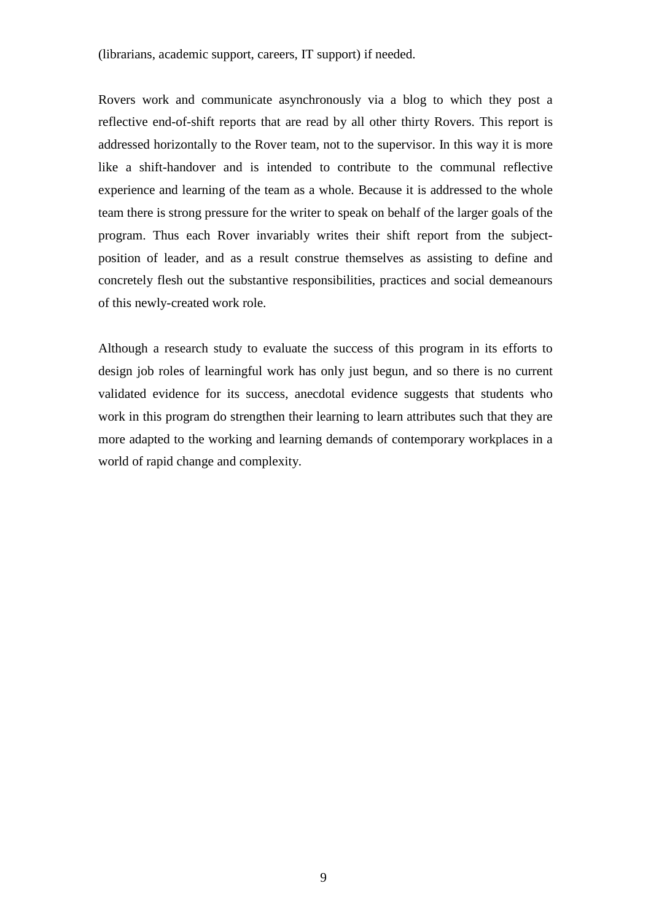(librarians, academic support, careers, IT support) if needed.

Rovers work and communicate asynchronously via a blog to which they post a reflective end-of-shift reports that are read by all other thirty Rovers. This report is addressed horizontally to the Rover team, not to the supervisor. In this way it is more like a shift-handover and is intended to contribute to the communal reflective experience and learning of the team as a whole. Because it is addressed to the whole team there is strong pressure for the writer to speak on behalf of the larger goals of the program. Thus each Rover invariably writes their shift report from the subjectposition of leader, and as a result construe themselves as assisting to define and concretely flesh out the substantive responsibilities, practices and social demeanours of this newly-created work role.

Although a research study to evaluate the success of this program in its efforts to design job roles of learningful work has only just begun, and so there is no current validated evidence for its success, anecdotal evidence suggests that students who work in this program do strengthen their learning to learn attributes such that they are more adapted to the working and learning demands of contemporary workplaces in a world of rapid change and complexity.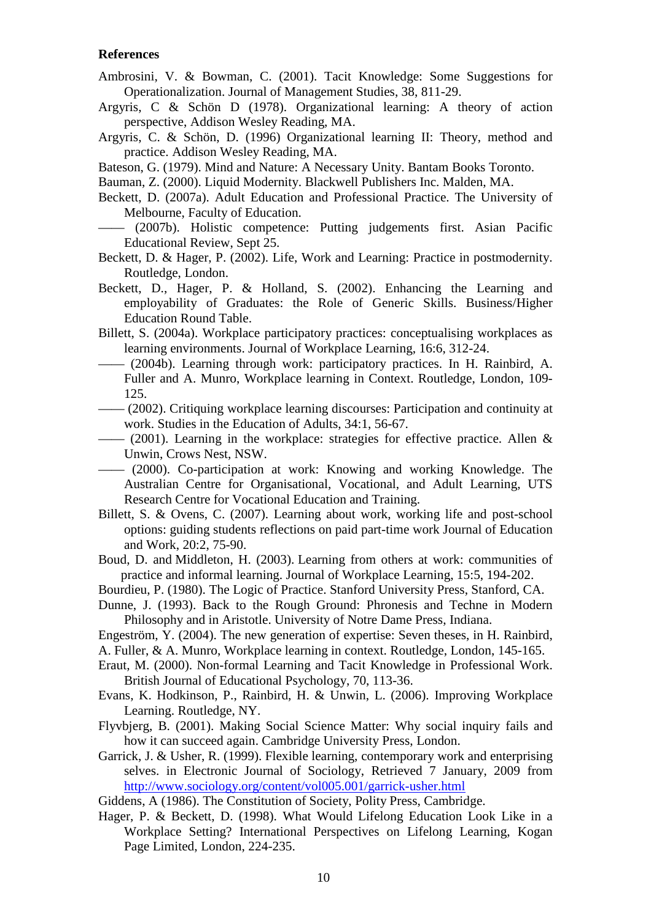### **References**

- Ambrosini, V. & Bowman, C. (2001). Tacit Knowledge: Some Suggestions for Operationalization. Journal of Management Studies, 38, 811-29.
- Argyris, C & Schön D (1978). Organizational learning: A theory of action perspective, Addison Wesley Reading, MA.
- Argyris, C. & Schön, D. (1996) Organizational learning II: Theory, method and practice. Addison Wesley Reading, MA.
- Bateson, G. (1979). Mind and Nature: A Necessary Unity. Bantam Books Toronto.
- Bauman, Z. (2000). Liquid Modernity. Blackwell Publishers Inc. Malden, MA.
- Beckett, D. (2007a). Adult Education and Professional Practice. The University of Melbourne, Faculty of Education.
	- (2007b). Holistic competence: Putting judgements first. Asian Pacific Educational Review, Sept 25.
- Beckett, D. & Hager, P. (2002). Life, Work and Learning: Practice in postmodernity. Routledge, London.
- Beckett, D., Hager, P. & Holland, S. (2002). Enhancing the Learning and employability of Graduates: the Role of Generic Skills. Business/Higher Education Round Table.
- Billett, S. (2004a). Workplace participatory practices: conceptualising workplaces as learning environments. Journal of Workplace Learning, 16:6, 312-24.
- —— (2004b). Learning through work: participatory practices. In H. Rainbird, A. Fuller and A. Munro, Workplace learning in Context. Routledge, London, 109- 125.
- —— (2002). Critiquing workplace learning discourses: Participation and continuity at work. Studies in the Education of Adults, 34:1, 56-67.
	- $-$  (2001). Learning in the workplace: strategies for effective practice. Allen & Unwin, Crows Nest, NSW.
- —— (2000). Co-participation at work: Knowing and working Knowledge. The Australian Centre for Organisational, Vocational, and Adult Learning, UTS Research Centre for Vocational Education and Training.
- Billett, S. & Ovens, C. (2007). Learning about work, working life and post-school options: guiding students reflections on paid part-time work Journal of Education and Work, 20:2, 75-90.
- Boud, D. and Middleton, H. (2003). Learning from others at work: communities of practice and informal learning. Journal of Workplace Learning, 15:5, 194-202.
- Bourdieu, P. (1980). The Logic of Practice. Stanford University Press, Stanford, CA.
- Dunne, J. (1993). Back to the Rough Ground: Phronesis and Techne in Modern Philosophy and in Aristotle. University of Notre Dame Press, Indiana.
- Engeström, Y. (2004). The new generation of expertise: Seven theses, in H. Rainbird,
- A. Fuller, & A. Munro, Workplace learning in context. Routledge, London, 145-165.
- Eraut, M. (2000). Non-formal Learning and Tacit Knowledge in Professional Work. British Journal of Educational Psychology, 70, 113-36.
- Evans, K. Hodkinson, P., Rainbird, H. & Unwin, L. (2006). Improving Workplace Learning. Routledge, NY.
- Flyvbjerg, B. (2001). Making Social Science Matter: Why social inquiry fails and how it can succeed again. Cambridge University Press, London.
- Garrick, J. & Usher, R. (1999). Flexible learning, contemporary work and enterprising selves. in Electronic Journal of Sociology, Retrieved 7 January, 2009 from http://www.sociology.org/content/vol005.001/garrick-usher.html
- Giddens, A (1986). The Constitution of Society, Polity Press, Cambridge.
- Hager, P. & Beckett, D. (1998). What Would Lifelong Education Look Like in a Workplace Setting? International Perspectives on Lifelong Learning, Kogan Page Limited, London, 224-235.